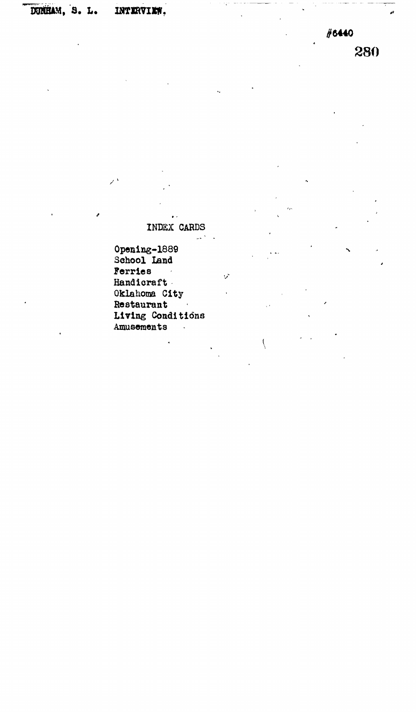## **DOSHAM, S . L .** INTERVIEW.

 $\mathbf{r}$  $\mathcal{L}$ 

**#6440** 280

**INDEX CARDS**

 $\sim$   $^{\prime}$ 

 $\mathbf{v}$ 

 $\overline{\mathcal{L}}$ 

**Opening-1889 School land Ferries**  $\sim 10$ **Handicraft Oklahoma City Restaurant Living Conditions Amusements** $\ddot{\phantom{a}}$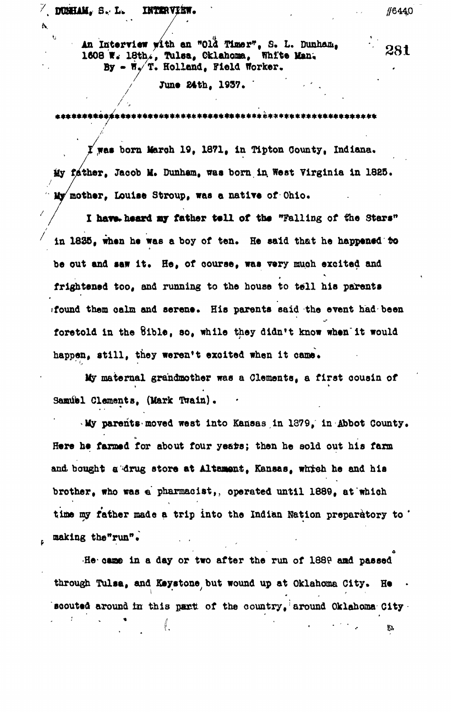$\sqrt{}$  DUMHAM, S. L. INTERVIEW.

A.

**/**

**making the"run"\* . .**

• • / •

An Interview with an "Old Timer", S. L. Dunham, **1608 W. 18th., Tuloa, Oklahoma, White Van, By • W./T. Holland, Field Worker.**

June 24th, 1937.

\*\*\*\*\*\*\*\*\*\*\*\*\*\*\*\*\*\*\*\*\*\*\*\*\*\*\*\*\*\*\*\*

**was born Jfaroh 19, 1871, In Tlpton County, Indiana. My father, Jacob II. Dunham, was born in. West Virginia In 1885. mother, Louise Stroup, was a native of Ohio.**

I have heard my father tell of the "Falling of the Stars" in 1835, when he was a boy of ten. He said that he happened to be out and saw it. He, of course, was very much excited and t frightened too, and running to the house to tell his parents **frightened too, and running to the house to tell his parents** found them calm and serene. His parents said the event had been **»found them oalm and serene. His parents said the event had been** foretold in the Sible, so, while they didn't know when it would **foretold in the Bible, so, while they didn't know when'it would** happen, still, they weren't excited when it came. **happen, still, they weren't excited when it came\***

My maternal grandmother was a Clements, a first cousin of **My maternal grandmother was a Clements, a first cousin of SamUel Clements, (Mark Twain).**

**My parents-moved west into Kansas in 1879, in Abbot County\*** Here he farmed for about four years; then he sold out his farm **Here he farmed for about four ye&ts; then he sold out his farm** and bought a drug store at Altament. Kansas, which he and his **and. bought a drug store at Alternant, Kansas, which he and his brother, who was « pharmacist, operated until 1889, at which was « pharmacist, operated until 1889, at which was «** time my father made a trip into the Indian Nation preparatory to ' **time my father made a trip into the Indian Nation preparatory to '**

**He-oaae in a day or two after the run of 1889 aad paesod through Tulaa, and Keystone but wound up at Oklahoma City. He • soouted around in this pant: of the oountry, around Oklahoma City**∜. G.

#6440

281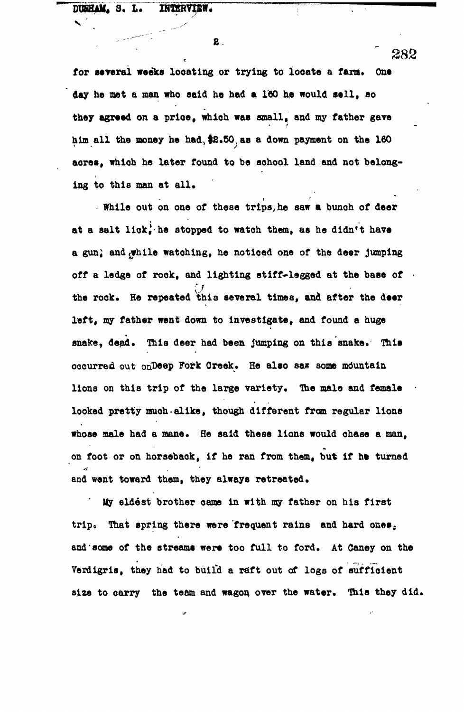## **DUHHAM, 3. L. INTERVIEW.**

2.

for several weeks locating or trying to locate a farm. One **day he met a man who said he had a l'GO he would sell, eo they agreed on a prioe, which was small, and my father gave** him all the money he had, \$2.50, as a down payment on the 160 acres, which he later found to be school land and not belonging to this man at all.

. While out on one of these trips, he saw a bunch of deer at a salt lick, he stopped to watch them, as he didn't have a gun, and while watching, he noticed one of the deer jumping off a ledge of rook, and lighting stiff-legged at the base of the rook. He repeated this several times, and after the deer left, my father went down to investigate, and found a huge snake, dead. This deer had been jumping on this snake. This occurred out onDeep Fork Creek. He also saw some mountain lions on this trip of the large variety. The male and female looked pretty much alike, though different from regular lions whose male had a mane. He said these lions would chase a man. on foot or on horseback, if he ran from them, but if he turned and went toward them, they always retreated.

My eldest brother came in with my father on his first trip. That spring there were frequent rains and hard ones. and some of the streams were too full to ford. At Caney on the Verdigris, they had to build a raft out of logs of sufficient size to carry the team and wagon over the water. This they did.

**size to oarry the team and wagon over the water. This they did.**

282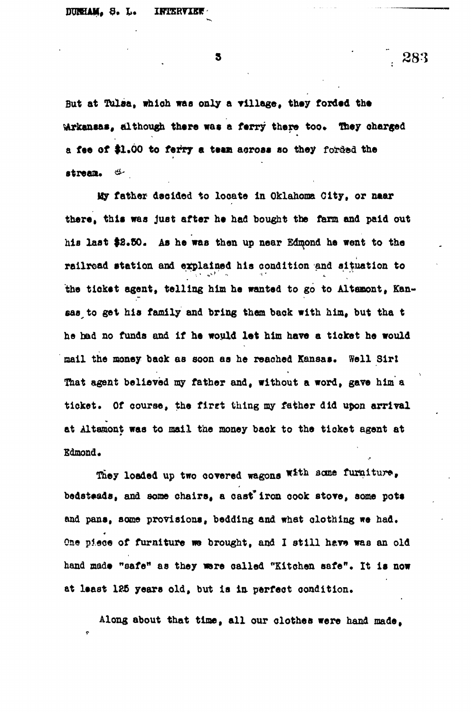3

**fiat at Tulaa, which was only a Tillage, they forded the ^Arkansas, although there was a ferry there too\* They charged a fte of \$1.00 to ferry a teas across so they foirdad the stream\* &-**

**My father decided to looate la Oklahoma City, or naar there, thlt was just after he had bought the farm and paid out** his last \$2.50. As he was then up near Edmond he went to the **railroad station and explained his condition and situation to the ticket agent, telling him he wanted to go to Altenont, Kansas^ to get his family and bring them back with him, but tha t he had no funds and if he would let him have a ticket he would** mail the money back as soon as he reached Kansas. Well Sirl **That agent believed my father and, without a word, gave him a** ticket. Of course, the first thing my father did upon arrival **at Altamont was to mail the money baok to the tioket agent at Edmond\***

**They loaded up two covered wagons \*ttb scme furniture, bedsteads, and some chairs, a oast\*iron oook stove, some pots and pans, some provisions, bedding and what clothing we had.** One piece of furniture we brought, and I still have was an old **hand made "safe" as they were called "Kitchen safe". It is now at least 135 years old, but is in. perfect condition.**

**Along about that time, all our clothes were hand made,**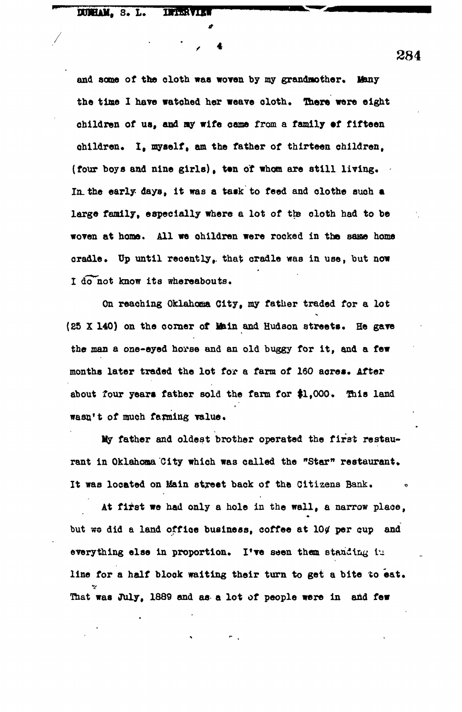**DURIAM.** S. L. **Thursday** 

**and 80010 of the cloth was woven by my grandmother. Many the time I have watched her weave cloth. There were eight children of us, and ay wife came from a family ef fifteen children\* lt myself, am the father of thirteen children, (four boys and nine girls), ten of whom are still living. In. the early- days, it was a task to feed and clothe such a large family, especially where a lot of the cloth had to be** woven at home. All we ohildren were rocked in the same home cradle. Up until recently, that cradle was in use, but now I do not know its whereabouts.

**On reaching Oklahoma City, my father traded for a lot (25 X 140) on the corner of Main and Hudson streets. He gave the man a one-eyed horse and an old buggy for it, and a few** months later traded the lot for a farm of 160 acres. After **about four years father sold the farm for \$1,000. This land wasn't of much farming value.**

**Uy father and oldest brother operated the first restau**rant in Oklahoma City which was called the "Star" restaurant. **It was located on Main street back of the Citizens Bank. \***

**At first we had only a hole in the wall, a narrow place,** but we did a land office business, coffee at 10 $\varphi$  per cup and everything else in proportion. I've seen them standing in **line for a half block waiting their turn to get a bite to eat. That was July, 1889 and as a lot of people were in and few**

 $\sim$  284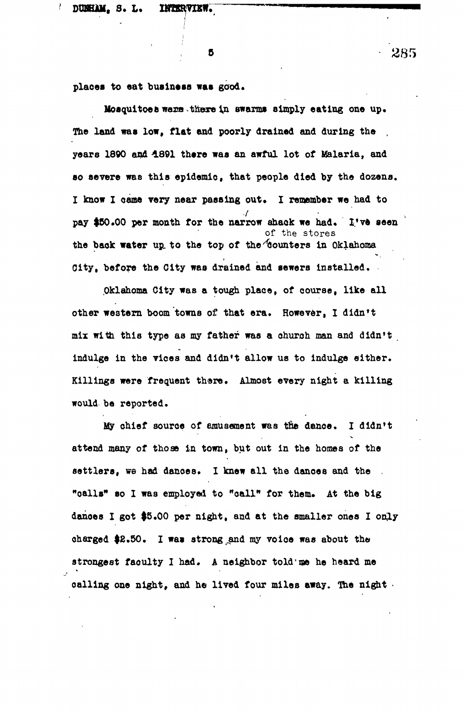Б

places to eat business was good.

**Mosquitoes warms there in swarms simply eating one up. The land was low, flat and poorly drained and during the , year8 1890 and "1891 there was an awful lot of Malaria, and so severe was this epidemic that people died by the dozens.** I know I came very near passing out. I remember we had to pay \$50.00 per month for the narrow shack we had. I've seen **of the stores the back water up. to the top of the Counters in Oklahoma City, before the City was drained and sewers installed.**

**Oklahoma City was a tough place, of course, like all other western boom towns of that era. However, I didn't mix with this type as my father was a church man and didn't indulge in the vices and didn't allow us to indulge either. Killings were frequent thare. Almost every night a killing would be reported.**

**My chief source of amusement was the dance. I didn't attend many of those in town, but out in the homes of the** settlers, we had dances. I knew all the dances and the "oalls" so I was employed to "call" for them. At the big dances I got \$5.00 per night, and at the smaller ones I only charged \$2.50. I was strong and my voice was about the strongest faoulty I had. A neighbor told'me he heard me calling one night, and he lived four miles away. The night -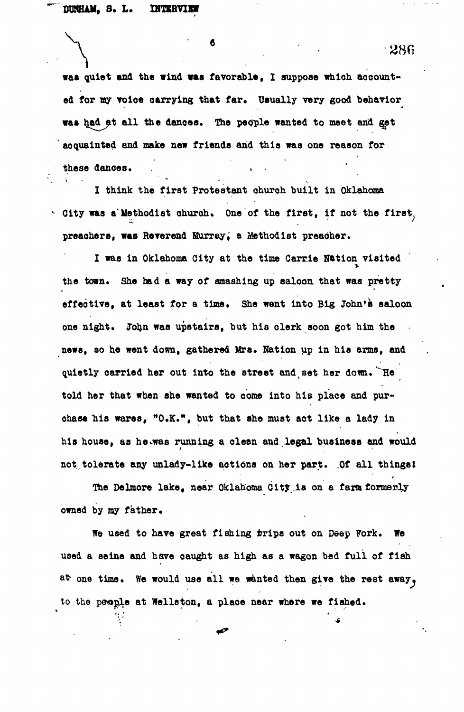**waa quiet and the wind was favorable, I suppose whioh aocount**ed for my voice carrying that far. Usually very good behavior was had at all the dances. The people wanted to meet and get **' acquainted and make new friends and this was one reason for** these dances.

**I think the first Protestant ohuroh built in Oklahoma City was a'Methodist ohuroh. One of the first, if not the first preaohers, was Reverend Eurray, a Methodist preaoher.**

I was in Oklahoma City at the time Carrie Nation visited **the town. She had a way of smashing up saloon that was pretty effective, at least for a time. She went into Big John's saloon one night. John was upstairs, but his olerk soon got him the news, so he went down, gathered Mrs. Nation up in his arms, and** quietly carried her out into the street and set her down. The **told her that when she wanted to come into his place and purchase bis wares, "O.K.<sup>1</sup>\*, but that she must aot like a lady in** his house, as hewas running a olean and legal business and would **not tolerate any unlady-like aotions on her part. .Of all things!**

**The Delmore lake, near Oklahoma City, is on a farm formerly owned by my father.**

**We used to have great fishing trips out on Deep Fork. We used a seine and have caught as high as a wagon bed full of fish** at one time. We would use all we wanted then give the rest away, **to the people at Welleton, a place near where we fished.**

4

· 286